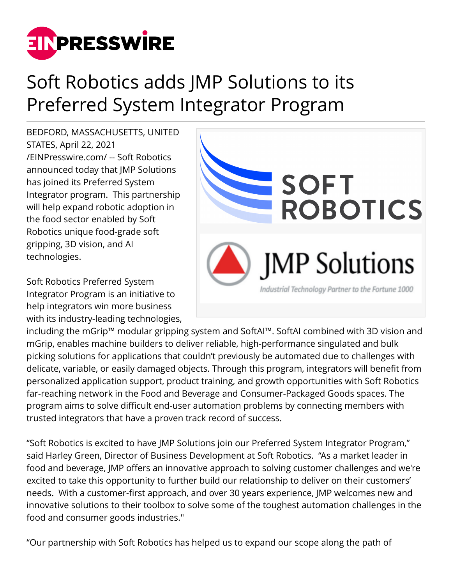

## Soft Robotics adds JMP Solutions to its Preferred System Integrator Program

BEDFORD, MASSACHUSETTS, UNITED STATES, April 22, 2021 [/EINPresswire.com/](http://www.einpresswire.com) -- Soft Robotics announced today that JMP Solutions has joined its Preferred System Integrator program. This partnership will help expand robotic adoption in the food sector enabled by Soft Robotics unique food-grade soft gripping, 3D vision, and AI technologies.

Soft Robotics Preferred System Integrator Program is an initiative to help integrators win more business with its industry-leading technologies,



including the mGrip™ modular gripping system and SoftAI™. SoftAI combined with 3D vision and mGrip, enables machine builders to deliver reliable, high-performance singulated and bulk picking solutions for applications that couldn't previously be automated due to challenges with delicate, variable, or easily damaged objects. Through this program, integrators will benefit from personalized application support, product training, and growth opportunities with Soft Robotics far-reaching network in the Food and Beverage and Consumer-Packaged Goods spaces. The program aims to solve difficult end-user automation problems by connecting members with trusted integrators that have a proven track record of success.

"Soft Robotics is excited to have JMP Solutions join our Preferred System Integrator Program," said Harley Green, Director of Business Development at Soft Robotics. "As a market leader in food and beverage, JMP offers an innovative approach to solving customer challenges and we're excited to take this opportunity to further build our relationship to deliver on their customers' needs. With a customer-first approach, and over 30 years experience, JMP welcomes new and innovative solutions to their toolbox to solve some of the toughest automation challenges in the food and consumer goods industries."

"Our partnership with Soft Robotics has helped us to expand our scope along the path of